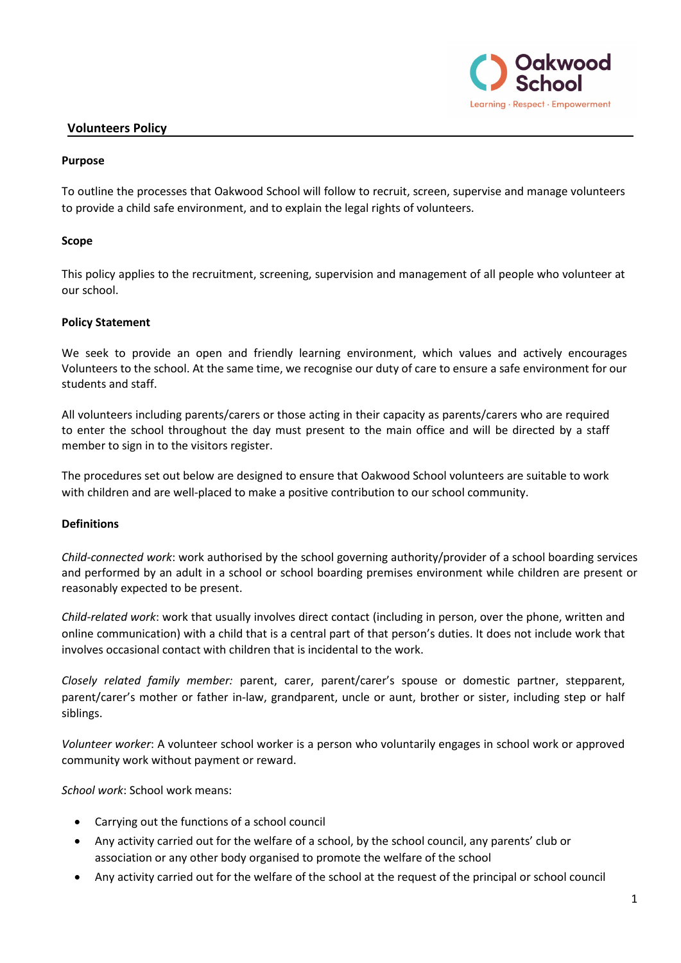

## **Volunteers Policy**

## **Purpose**

To outline the processes that Oakwood School will follow to recruit, screen, supervise and manage volunteers to provide a child safe environment, and to explain the legal rights of volunteers.

## **Scope**

This policy applies to the recruitment, screening, supervision and management of all people who volunteer at our school.

## **Policy Statement**

We seek to provide an open and friendly learning environment, which values and actively encourages Volunteers to the school. At the same time, we recognise our duty of care to ensure a safe environment for our students and staff.

All volunteers including parents/carers or those acting in their capacity as parents/carers who are required to enter the school throughout the day must present to the main office and will be directed by a staff member to sign in to the visitors register.

The procedures set out below are designed to ensure that Oakwood School volunteers are suitable to work with children and are well-placed to make a positive contribution to our school community.

### **Definitions**

*Child-connected work*: work authorised by the school governing authority/provider of a school boarding services and performed by an adult in a school or school boarding premises environment while children are present or reasonably expected to be present.

*Child-related work*: work that usually involves direct contact (including in person, over the phone, written and online communication) with a child that is a central part of that person's duties. It does not include work that involves occasional contact with children that is incidental to the work.

*Closely related family member:* parent, carer, parent/carer's spouse or domestic partner, stepparent, parent/carer's mother or father in-law, grandparent, uncle or aunt, brother or sister, including step or half siblings.

*Volunteer worker*: A volunteer school worker is a person who voluntarily engages in school work or approved community work without payment or reward.

*School work*: School work means:

- Carrying out the functions of a school council
- Any activity carried out for the welfare of a school, by the school council, any parents' club or association or any other body organised to promote the welfare of the school
- Any activity carried out for the welfare of the school at the request of the principal or school council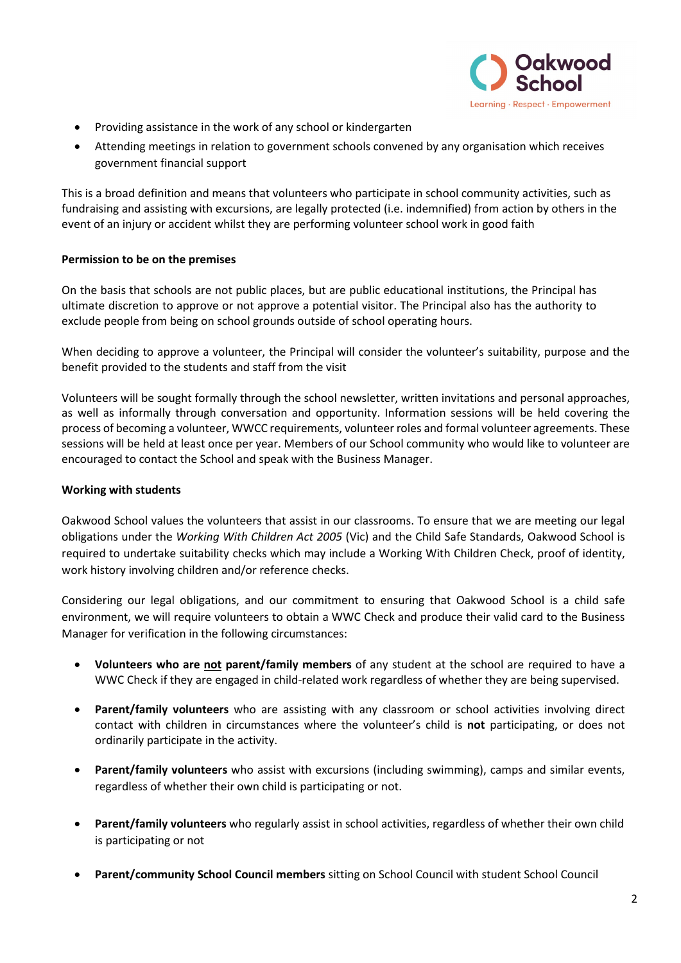

- Providing assistance in the work of any school or kindergarten
- Attending meetings in relation to government schools convened by any organisation which receives government financial support

This is a broad definition and means that volunteers who participate in school community activities, such as fundraising and assisting with excursions, are legally protected (i.e. indemnified) from action by others in the event of an injury or accident whilst they are performing volunteer school work in good faith

## **Permission to be on the premises**

On the basis that schools are not public places, but are public educational institutions, the Principal has ultimate discretion to approve or not approve a potential visitor. The Principal also has the authority to exclude people from being on school grounds outside of school operating hours.

When deciding to approve a volunteer, the Principal will consider the volunteer's suitability, purpose and the benefit provided to the students and staff from the visit

Volunteers will be sought formally through the school newsletter, written invitations and personal approaches, as well as informally through conversation and opportunity. Information sessions will be held covering the process of becoming a volunteer, WWCC requirements, volunteer roles and formal volunteer agreements. These sessions will be held at least once per year. Members of our School community who would like to volunteer are encouraged to contact the School and speak with the Business Manager.

### **Working with students**

Oakwood School values the volunteers that assist in our classrooms. To ensure that we are meeting our legal obligations under the *Working With Children Act 2005* (Vic) and the Child Safe Standards, Oakwood School is required to undertake suitability checks which may include a Working With Children Check, proof of identity, work history involving children and/or reference checks.

Considering our legal obligations, and our commitment to ensuring that Oakwood School is a child safe environment, we will require volunteers to obtain a WWC Check and produce their valid card to the Business Manager for verification in the following circumstances:

- **Volunteers who are not parent/family members** of any student at the school are required to have a WWC Check if they are engaged in child-related work regardless of whether they are being supervised.
- **Parent/family volunteers** who are assisting with any classroom or school activities involving direct contact with children in circumstances where the volunteer's child is **not** participating, or does not ordinarily participate in the activity.
- **Parent/family volunteers** who assist with excursions (including swimming), camps and similar events, regardless of whether their own child is participating or not.
- **Parent/family volunteers** who regularly assist in school activities, regardless of whether their own child is participating or not
- **Parent/community School Council members** sitting on School Council with student School Council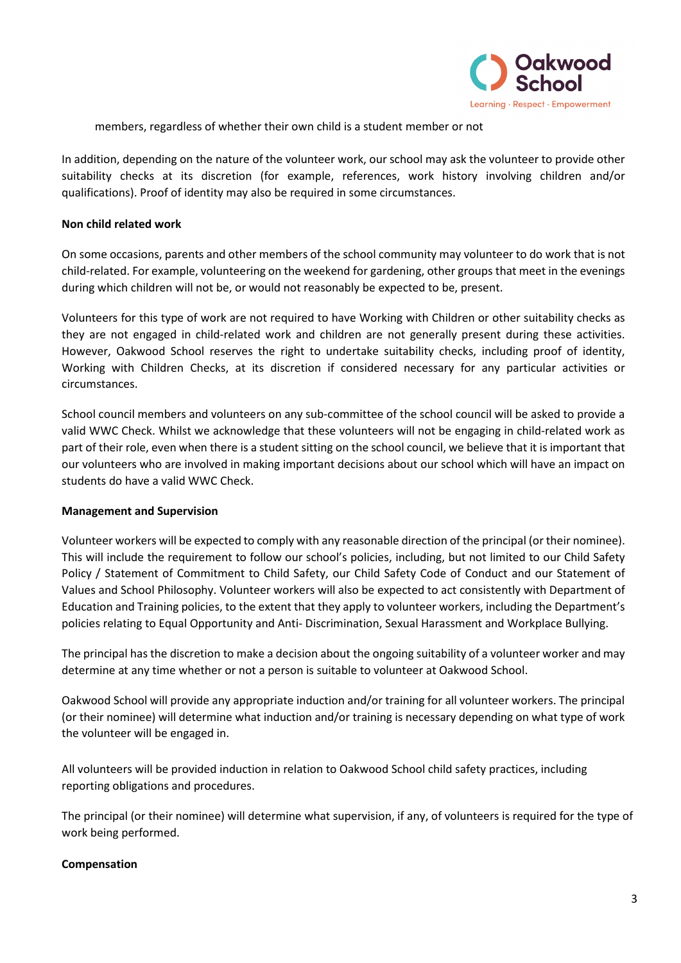

members, regardless of whether their own child is a student member or not

In addition, depending on the nature of the volunteer work, our school may ask the volunteer to provide other suitability checks at its discretion (for example, references, work history involving children and/or qualifications). Proof of identity may also be required in some circumstances.

### **Non child related work**

On some occasions, parents and other members of the school community may volunteer to do work that is not child-related. For example, volunteering on the weekend for gardening, other groups that meet in the evenings during which children will not be, or would not reasonably be expected to be, present.

Volunteers for this type of work are not required to have Working with Children or other suitability checks as they are not engaged in child-related work and children are not generally present during these activities. However, Oakwood School reserves the right to undertake suitability checks, including proof of identity, Working with Children Checks, at its discretion if considered necessary for any particular activities or circumstances.

School council members and volunteers on any sub-committee of the school council will be asked to provide a valid WWC Check. Whilst we acknowledge that these volunteers will not be engaging in child-related work as part of their role, even when there is a student sitting on the school council, we believe that it is important that our volunteers who are involved in making important decisions about our school which will have an impact on students do have a valid WWC Check.

#### **Management and Supervision**

Volunteer workers will be expected to comply with any reasonable direction of the principal (or their nominee). This will include the requirement to follow our school's policies, including, but not limited to our Child Safety Policy / Statement of Commitment to Child Safety, our Child Safety Code of Conduct and our Statement of Values and School Philosophy. Volunteer workers will also be expected to act consistently with Department of Education and Training policies, to the extent that they apply to volunteer workers, including the Department's policies relating to Equal Opportunity and Anti- Discrimination, Sexual Harassment and Workplace Bullying.

The principal has the discretion to make a decision about the ongoing suitability of a volunteer worker and may determine at any time whether or not a person is suitable to volunteer at Oakwood School.

Oakwood School will provide any appropriate induction and/or training for all volunteer workers. The principal (or their nominee) will determine what induction and/or training is necessary depending on what type of work the volunteer will be engaged in.

All volunteers will be provided induction in relation to Oakwood School child safety practices, including reporting obligations and procedures.

The principal (or their nominee) will determine what supervision, if any, of volunteers is required for the type of work being performed.

### **Compensation**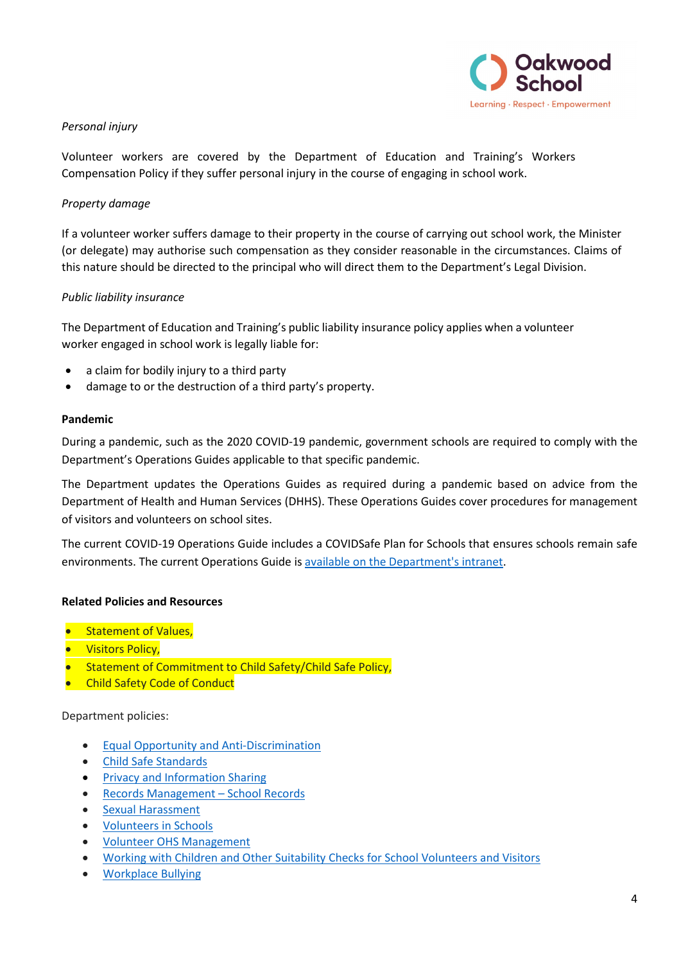

## *Personal injury*

Volunteer workers are covered by the Department of Education and Training's Workers Compensation Policy if they suffer personal injury in the course of engaging in school work.

## *Property damage*

If a volunteer worker suffers damage to their property in the course of carrying out school work, the Minister (or delegate) may authorise such compensation as they consider reasonable in the circumstances. Claims of this nature should be directed to the principal who will direct them to the Department's Legal Division.

## *Public liability insurance*

The Department of Education and Training's public liability insurance policy applies when a volunteer worker engaged in school work is legally liable for:

- a claim for bodily injury to a third party
- damage to or the destruction of a third party's property.

#### **Pandemic**

During a pandemic, such as the 2020 COVID-19 pandemic, government schools are required to comply with the Department's Operations Guides applicable to that specific pandemic.

The Department updates the Operations Guides as required during a pandemic based on advice from the Department of Health and Human Services (DHHS). These Operations Guides cover procedures for management of visitors and volunteers on school sites.

The current COVID-19 Operations Guide includes a COVIDSafe Plan for Schools that ensures schools remain safe environments. The current Operations Guide i[s available on the Department's intranet.](https://edugate.eduweb.vic.gov.au/sites/i/Lists/Content/Redirect.aspx?ID=3336&utm_source=email+marketing+Mailigen&utm_campaign=Direct+Send+-+Emergency&utm_medium=email)

### **Related Policies and Resources**

- Statement of Values,
- Visitors Policy,
- **Statement of Commitment to Child Safety/Child Safe Policy,**
- Child Safety Code of Conduct

Department policies:

- [Equal Opportunity and Anti-Discrimination](https://www2.education.vic.gov.au/pal/equal-opportunity/policy-and-guidelines)
- [Child Safe Standards](https://www2.education.vic.gov.au/pal/child-safe-standards/policy)
- [Privacy and Information Sharing](https://www2.education.vic.gov.au/pal/privacy-information-sharing/policy)
- [Records Management –](https://www2.education.vic.gov.au/pal/records-management/policy) School Records
- [Sexual Harassment](https://www2.education.vic.gov.au/pal/sexual-harassment/policy-and-guidelines)
- [Volunteers in Schools](https://www2.education.vic.gov.au/pal/volunteers/policy)
- [Volunteer OHS Management](https://www2.education.vic.gov.au/pal/volunteer-ohs-management/policy)
- [Working with Children and Other Suitability Checks for School Volunteers and Visitors](https://www2.education.vic.gov.au/pal/suitability-checks/policy)
- [Workplace Bullying](https://www2.education.vic.gov.au/pal/workplace-bullying/policy)